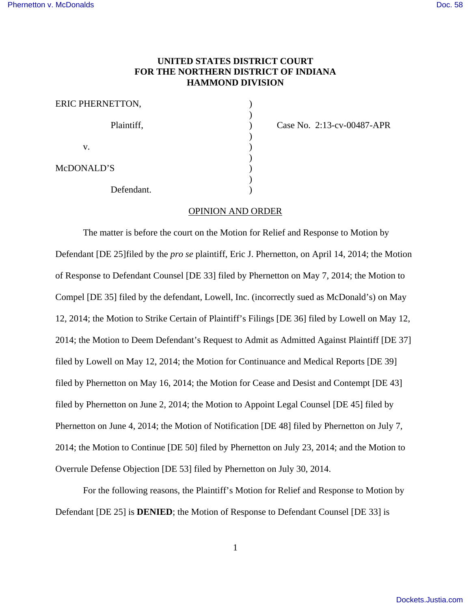## **UNITED STATES DISTRICT COURT FOR THE NORTHERN DISTRICT OF INDIANA HAMMOND DIVISION**

| ERIC PHERNETTON, |  |
|------------------|--|
| Plaintiff,       |  |
| V.               |  |
| McDONALD'S       |  |
| Defendant.       |  |

Case No. 2:13-cv-00487-APR

### OPINION AND ORDER

The matter is before the court on the Motion for Relief and Response to Motion by Defendant [DE 25]filed by the *pro se* plaintiff, Eric J. Phernetton, on April 14, 2014; the Motion of Response to Defendant Counsel [DE 33] filed by Phernetton on May 7, 2014; the Motion to Compel [DE 35] filed by the defendant, Lowell, Inc. (incorrectly sued as McDonald's) on May 12, 2014; the Motion to Strike Certain of Plaintiff's Filings [DE 36] filed by Lowell on May 12, 2014; the Motion to Deem Defendant's Request to Admit as Admitted Against Plaintiff [DE 37] filed by Lowell on May 12, 2014; the Motion for Continuance and Medical Reports [DE 39] filed by Phernetton on May 16, 2014; the Motion for Cease and Desist and Contempt [DE 43] filed by Phernetton on June 2, 2014; the Motion to Appoint Legal Counsel [DE 45] filed by Phernetton on June 4, 2014; the Motion of Notification [DE 48] filed by Phernetton on July 7, 2014; the Motion to Continue [DE 50] filed by Phernetton on July 23, 2014; and the Motion to Overrule Defense Objection [DE 53] filed by Phernetton on July 30, 2014.

For the following reasons, the Plaintiff's Motion for Relief and Response to Motion by Defendant [DE 25] is **DENIED**; the Motion of Response to Defendant Counsel [DE 33] is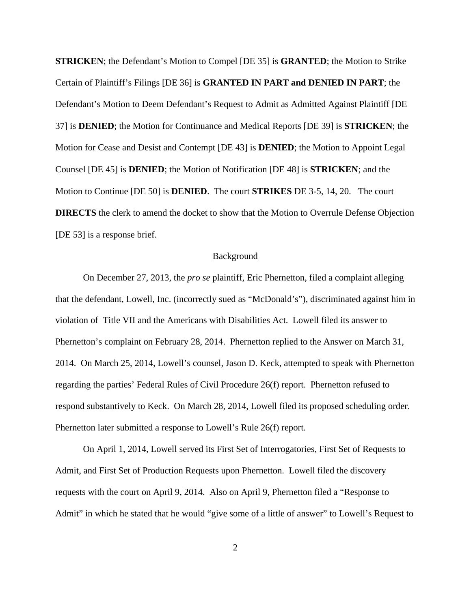**STRICKEN**; the Defendant's Motion to Compel [DE 35] is **GRANTED**; the Motion to Strike Certain of Plaintiff's Filings [DE 36] is **GRANTED IN PART and DENIED IN PART**; the Defendant's Motion to Deem Defendant's Request to Admit as Admitted Against Plaintiff [DE 37] is **DENIED**; the Motion for Continuance and Medical Reports [DE 39] is **STRICKEN**; the Motion for Cease and Desist and Contempt [DE 43] is **DENIED**; the Motion to Appoint Legal Counsel [DE 45] is **DENIED**; the Motion of Notification [DE 48] is **STRICKEN**; and the Motion to Continue [DE 50] is **DENIED**. The court **STRIKES** DE 3-5, 14, 20. The court **DIRECTS** the clerk to amend the docket to show that the Motion to Overrule Defense Objection [DE 53] is a response brief.

#### **Background**

On December 27, 2013, the *pro se* plaintiff, Eric Phernetton, filed a complaint alleging that the defendant, Lowell, Inc. (incorrectly sued as "McDonald's"), discriminated against him in violation of Title VII and the Americans with Disabilities Act. Lowell filed its answer to Phernetton's complaint on February 28, 2014. Phernetton replied to the Answer on March 31, 2014. On March 25, 2014, Lowell's counsel, Jason D. Keck, attempted to speak with Phernetton regarding the parties' Federal Rules of Civil Procedure 26(f) report. Phernetton refused to respond substantively to Keck. On March 28, 2014, Lowell filed its proposed scheduling order. Phernetton later submitted a response to Lowell's Rule 26(f) report.

On April 1, 2014, Lowell served its First Set of Interrogatories, First Set of Requests to Admit, and First Set of Production Requests upon Phernetton. Lowell filed the discovery requests with the court on April 9, 2014. Also on April 9, Phernetton filed a "Response to Admit" in which he stated that he would "give some of a little of answer" to Lowell's Request to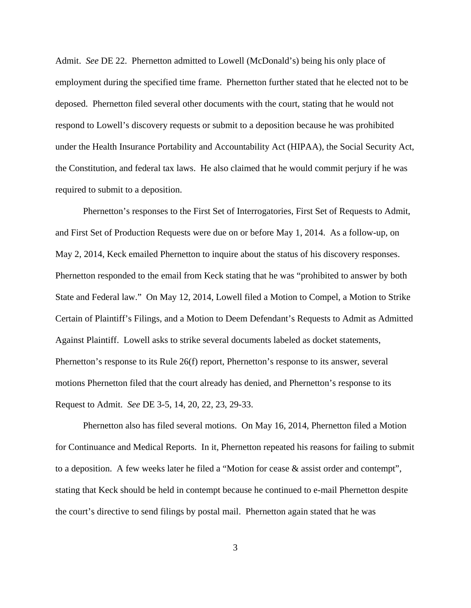Admit. *See* DE 22. Phernetton admitted to Lowell (McDonald's) being his only place of employment during the specified time frame. Phernetton further stated that he elected not to be deposed. Phernetton filed several other documents with the court, stating that he would not respond to Lowell's discovery requests or submit to a deposition because he was prohibited under the Health Insurance Portability and Accountability Act (HIPAA), the Social Security Act, the Constitution, and federal tax laws. He also claimed that he would commit perjury if he was required to submit to a deposition.

Phernetton's responses to the First Set of Interrogatories, First Set of Requests to Admit, and First Set of Production Requests were due on or before May 1, 2014. As a follow-up, on May 2, 2014, Keck emailed Phernetton to inquire about the status of his discovery responses. Phernetton responded to the email from Keck stating that he was "prohibited to answer by both State and Federal law." On May 12, 2014, Lowell filed a Motion to Compel, a Motion to Strike Certain of Plaintiff's Filings, and a Motion to Deem Defendant's Requests to Admit as Admitted Against Plaintiff. Lowell asks to strike several documents labeled as docket statements, Phernetton's response to its Rule 26(f) report, Phernetton's response to its answer, several motions Phernetton filed that the court already has denied, and Phernetton's response to its Request to Admit. *See* DE 3-5, 14, 20, 22, 23, 29-33.

Phernetton also has filed several motions. On May 16, 2014, Phernetton filed a Motion for Continuance and Medical Reports. In it, Phernetton repeated his reasons for failing to submit to a deposition. A few weeks later he filed a "Motion for cease & assist order and contempt", stating that Keck should be held in contempt because he continued to e-mail Phernetton despite the court's directive to send filings by postal mail. Phernetton again stated that he was

3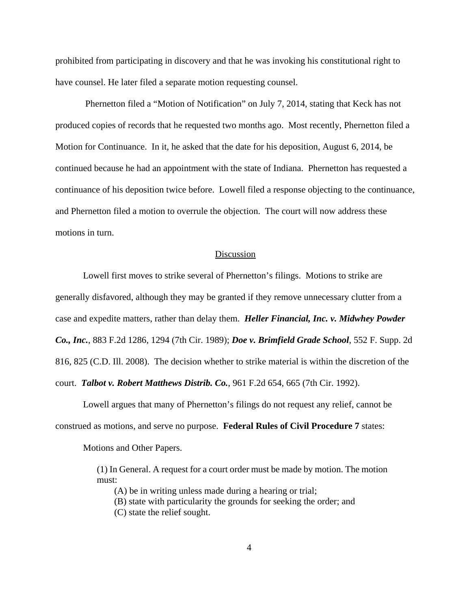prohibited from participating in discovery and that he was invoking his constitutional right to have counsel. He later filed a separate motion requesting counsel.

 Phernetton filed a "Motion of Notification" on July 7, 2014, stating that Keck has not produced copies of records that he requested two months ago. Most recently, Phernetton filed a Motion for Continuance. In it, he asked that the date for his deposition, August 6, 2014, be continued because he had an appointment with the state of Indiana. Phernetton has requested a continuance of his deposition twice before. Lowell filed a response objecting to the continuance, and Phernetton filed a motion to overrule the objection. The court will now address these motions in turn.

# Discussion

Lowell first moves to strike several of Phernetton's filings. Motions to strike are generally disfavored, although they may be granted if they remove unnecessary clutter from a case and expedite matters, rather than delay them. *Heller Financial, Inc. v. Midwhey Powder Co., Inc.*, 883 F.2d 1286, 1294 (7th Cir. 1989); *Doe v. Brimfield Grade School*, 552 F. Supp. 2d 816, 825 (C.D. Ill. 2008). The decision whether to strike material is within the discretion of the court. *Talbot v. Robert Matthews Distrib. Co.*, 961 F.2d 654, 665 (7th Cir. 1992).

Lowell argues that many of Phernetton's filings do not request any relief, cannot be construed as motions, and serve no purpose. **Federal Rules of Civil Procedure 7** states:

Motions and Other Papers.

(1) In General. A request for a court order must be made by motion. The motion must:

(A) be in writing unless made during a hearing or trial;

(B) state with particularity the grounds for seeking the order; and

(C) state the relief sought.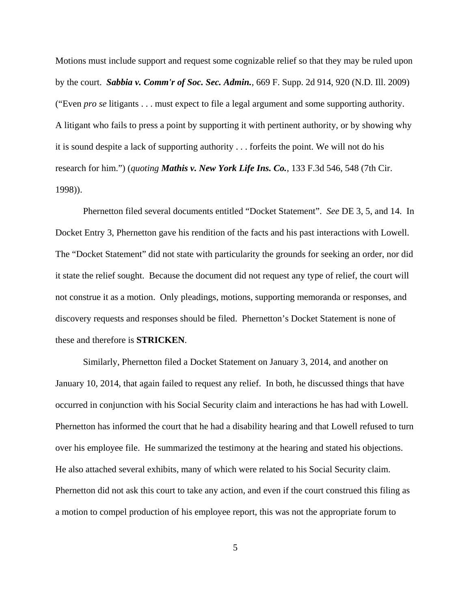Motions must include support and request some cognizable relief so that they may be ruled upon by the court. *Sabbia v. Comm'r of Soc. Sec. Admin.*, 669 F. Supp. 2d 914, 920 (N.D. Ill. 2009) ("Even *pro se* litigants . . . must expect to file a legal argument and some supporting authority. A litigant who fails to press a point by supporting it with pertinent authority, or by showing why it is sound despite a lack of supporting authority . . . forfeits the point. We will not do his research for him.") (*quoting Mathis v. New York Life Ins. Co.*, 133 F.3d 546, 548 (7th Cir. 1998)).

Phernetton filed several documents entitled "Docket Statement". *See* DE 3, 5, and 14. In Docket Entry 3, Phernetton gave his rendition of the facts and his past interactions with Lowell. The "Docket Statement" did not state with particularity the grounds for seeking an order, nor did it state the relief sought. Because the document did not request any type of relief, the court will not construe it as a motion. Only pleadings, motions, supporting memoranda or responses, and discovery requests and responses should be filed. Phernetton's Docket Statement is none of these and therefore is **STRICKEN**.

Similarly, Phernetton filed a Docket Statement on January 3, 2014, and another on January 10, 2014, that again failed to request any relief. In both, he discussed things that have occurred in conjunction with his Social Security claim and interactions he has had with Lowell. Phernetton has informed the court that he had a disability hearing and that Lowell refused to turn over his employee file. He summarized the testimony at the hearing and stated his objections. He also attached several exhibits, many of which were related to his Social Security claim. Phernetton did not ask this court to take any action, and even if the court construed this filing as a motion to compel production of his employee report, this was not the appropriate forum to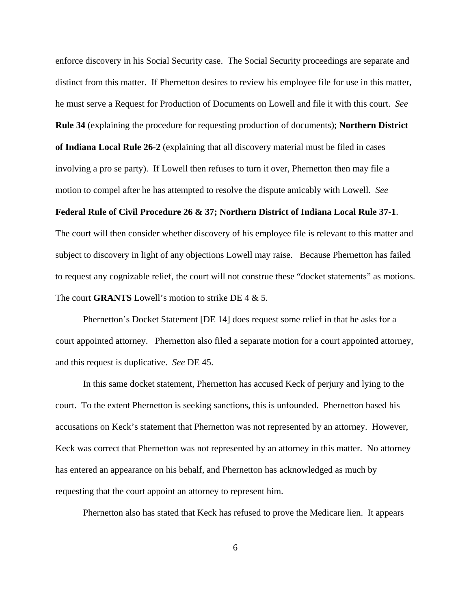enforce discovery in his Social Security case. The Social Security proceedings are separate and distinct from this matter. If Phernetton desires to review his employee file for use in this matter, he must serve a Request for Production of Documents on Lowell and file it with this court. *See* **Rule 34** (explaining the procedure for requesting production of documents); **Northern District of Indiana Local Rule 26-2** (explaining that all discovery material must be filed in cases involving a pro se party). If Lowell then refuses to turn it over, Phernetton then may file a motion to compel after he has attempted to resolve the dispute amicably with Lowell. *See*

### **Federal Rule of Civil Procedure 26 & 37; Northern District of Indiana Local Rule 37-1**.

The court will then consider whether discovery of his employee file is relevant to this matter and subject to discovery in light of any objections Lowell may raise. Because Phernetton has failed to request any cognizable relief, the court will not construe these "docket statements" as motions. The court **GRANTS** Lowell's motion to strike DE 4 & 5.

Phernetton's Docket Statement [DE 14] does request some relief in that he asks for a court appointed attorney. Phernetton also filed a separate motion for a court appointed attorney, and this request is duplicative. *See* DE 45.

In this same docket statement, Phernetton has accused Keck of perjury and lying to the court. To the extent Phernetton is seeking sanctions, this is unfounded. Phernetton based his accusations on Keck's statement that Phernetton was not represented by an attorney. However, Keck was correct that Phernetton was not represented by an attorney in this matter. No attorney has entered an appearance on his behalf, and Phernetton has acknowledged as much by requesting that the court appoint an attorney to represent him.

Phernetton also has stated that Keck has refused to prove the Medicare lien. It appears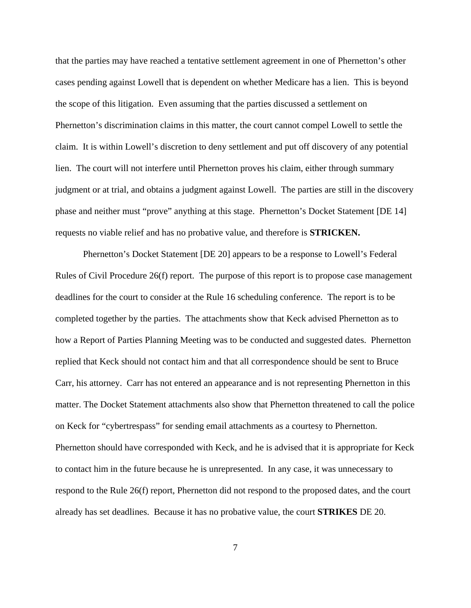that the parties may have reached a tentative settlement agreement in one of Phernetton's other cases pending against Lowell that is dependent on whether Medicare has a lien. This is beyond the scope of this litigation. Even assuming that the parties discussed a settlement on Phernetton's discrimination claims in this matter, the court cannot compel Lowell to settle the claim. It is within Lowell's discretion to deny settlement and put off discovery of any potential lien. The court will not interfere until Phernetton proves his claim, either through summary judgment or at trial, and obtains a judgment against Lowell. The parties are still in the discovery phase and neither must "prove" anything at this stage. Phernetton's Docket Statement [DE 14] requests no viable relief and has no probative value, and therefore is **STRICKEN.**

Phernetton's Docket Statement [DE 20] appears to be a response to Lowell's Federal Rules of Civil Procedure 26(f) report. The purpose of this report is to propose case management deadlines for the court to consider at the Rule 16 scheduling conference. The report is to be completed together by the parties. The attachments show that Keck advised Phernetton as to how a Report of Parties Planning Meeting was to be conducted and suggested dates. Phernetton replied that Keck should not contact him and that all correspondence should be sent to Bruce Carr, his attorney. Carr has not entered an appearance and is not representing Phernetton in this matter. The Docket Statement attachments also show that Phernetton threatened to call the police on Keck for "cybertrespass" for sending email attachments as a courtesy to Phernetton. Phernetton should have corresponded with Keck, and he is advised that it is appropriate for Keck to contact him in the future because he is unrepresented. In any case, it was unnecessary to respond to the Rule 26(f) report, Phernetton did not respond to the proposed dates, and the court already has set deadlines. Because it has no probative value, the court **STRIKES** DE 20.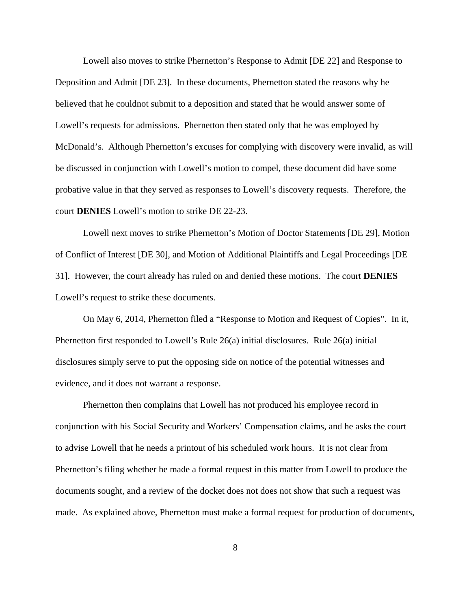Lowell also moves to strike Phernetton's Response to Admit [DE 22] and Response to Deposition and Admit [DE 23]. In these documents, Phernetton stated the reasons why he believed that he couldnot submit to a deposition and stated that he would answer some of Lowell's requests for admissions. Phernetton then stated only that he was employed by McDonald's. Although Phernetton's excuses for complying with discovery were invalid, as will be discussed in conjunction with Lowell's motion to compel, these document did have some probative value in that they served as responses to Lowell's discovery requests. Therefore, the court **DENIES** Lowell's motion to strike DE 22-23.

Lowell next moves to strike Phernetton's Motion of Doctor Statements [DE 29], Motion of Conflict of Interest [DE 30], and Motion of Additional Plaintiffs and Legal Proceedings [DE 31]. However, the court already has ruled on and denied these motions. The court **DENIES** Lowell's request to strike these documents.

On May 6, 2014, Phernetton filed a "Response to Motion and Request of Copies". In it, Phernetton first responded to Lowell's Rule 26(a) initial disclosures. Rule 26(a) initial disclosures simply serve to put the opposing side on notice of the potential witnesses and evidence, and it does not warrant a response.

Phernetton then complains that Lowell has not produced his employee record in conjunction with his Social Security and Workers' Compensation claims, and he asks the court to advise Lowell that he needs a printout of his scheduled work hours. It is not clear from Phernetton's filing whether he made a formal request in this matter from Lowell to produce the documents sought, and a review of the docket does not does not show that such a request was made. As explained above, Phernetton must make a formal request for production of documents,

8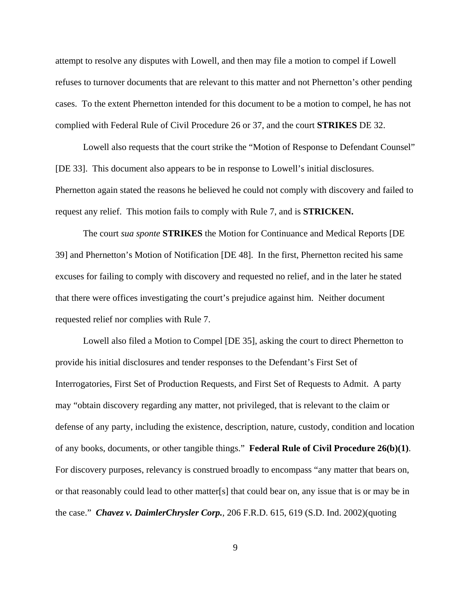attempt to resolve any disputes with Lowell, and then may file a motion to compel if Lowell refuses to turnover documents that are relevant to this matter and not Phernetton's other pending cases. To the extent Phernetton intended for this document to be a motion to compel, he has not complied with Federal Rule of Civil Procedure 26 or 37, and the court **STRIKES** DE 32.

Lowell also requests that the court strike the "Motion of Response to Defendant Counsel" [DE 33]. This document also appears to be in response to Lowell's initial disclosures. Phernetton again stated the reasons he believed he could not comply with discovery and failed to request any relief. This motion fails to comply with Rule 7, and is **STRICKEN.**

The court *sua sponte* **STRIKES** the Motion for Continuance and Medical Reports [DE 39] and Phernetton's Motion of Notification [DE 48]. In the first, Phernetton recited his same excuses for failing to comply with discovery and requested no relief, and in the later he stated that there were offices investigating the court's prejudice against him. Neither document requested relief nor complies with Rule 7.

Lowell also filed a Motion to Compel [DE 35], asking the court to direct Phernetton to provide his initial disclosures and tender responses to the Defendant's First Set of Interrogatories, First Set of Production Requests, and First Set of Requests to Admit. A party may "obtain discovery regarding any matter, not privileged, that is relevant to the claim or defense of any party, including the existence, description, nature, custody, condition and location of any books, documents, or other tangible things." **Federal Rule of Civil Procedure 26(b)(1)**. For discovery purposes, relevancy is construed broadly to encompass "any matter that bears on, or that reasonably could lead to other matter[s] that could bear on, any issue that is or may be in the case." *Chavez v. DaimlerChrysler Corp.,* 206 F.R.D. 615, 619 (S.D. Ind. 2002)(quoting

9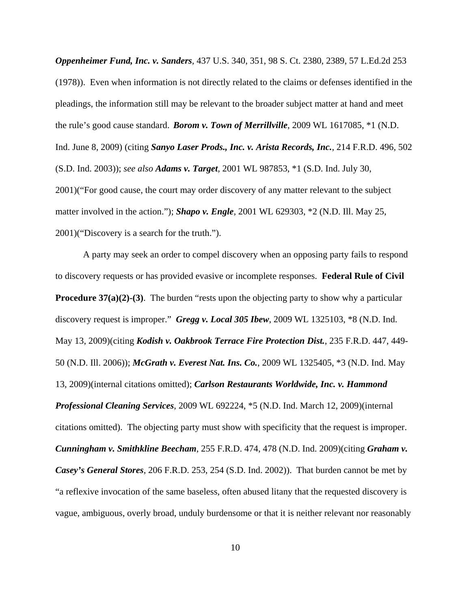*Oppenheimer Fund, Inc. v. Sanders,* 437 U.S. 340, 351, 98 S. Ct. 2380, 2389, 57 L.Ed.2d 253 (1978)). Even when information is not directly related to the claims or defenses identified in the pleadings, the information still may be relevant to the broader subject matter at hand and meet the rule's good cause standard. *Borom v. Town of Merrillville*, 2009 WL 1617085, \*1 (N.D. Ind. June 8, 2009) (citing *Sanyo Laser Prods., Inc. v. Arista Records, Inc.*, 214 F.R.D. 496, 502 (S.D. Ind. 2003)); *see also Adams v. Target,* 2001 WL 987853, \*1 (S.D. Ind. July 30, 2001)("For good cause, the court may order discovery of any matter relevant to the subject matter involved in the action."); *Shapo v. Engle,* 2001 WL 629303, \*2 (N.D. Ill. May 25, 2001)("Discovery is a search for the truth.").

A party may seek an order to compel discovery when an opposing party fails to respond to discovery requests or has provided evasive or incomplete responses. **Federal Rule of Civil Procedure 37(a)(2)-(3)**. The burden "rests upon the objecting party to show why a particular discovery request is improper." *Gregg v. Local 305 Ibew*, 2009 WL 1325103, \*8 (N.D. Ind. May 13, 2009)(citing *Kodish v. Oakbrook Terrace Fire Protection Dist.*, 235 F.R.D. 447, 449- 50 (N.D. Ill. 2006)); *McGrath v. Everest Nat. Ins. Co.*, 2009 WL 1325405, \*3 (N.D. Ind. May 13, 2009)(internal citations omitted); *Carlson Restaurants Worldwide, Inc. v. Hammond Professional Cleaning Services*, 2009 WL 692224, \*5 (N.D. Ind. March 12, 2009)(internal citations omitted). The objecting party must show with specificity that the request is improper. *Cunningham v. Smithkline Beecham*, 255 F.R.D. 474, 478 (N.D. Ind. 2009)(citing *Graham v. Casey's General Stores*, 206 F.R.D. 253, 254 (S.D. Ind. 2002)). That burden cannot be met by "a reflexive invocation of the same baseless, often abused litany that the requested discovery is vague, ambiguous, overly broad, unduly burdensome or that it is neither relevant nor reasonably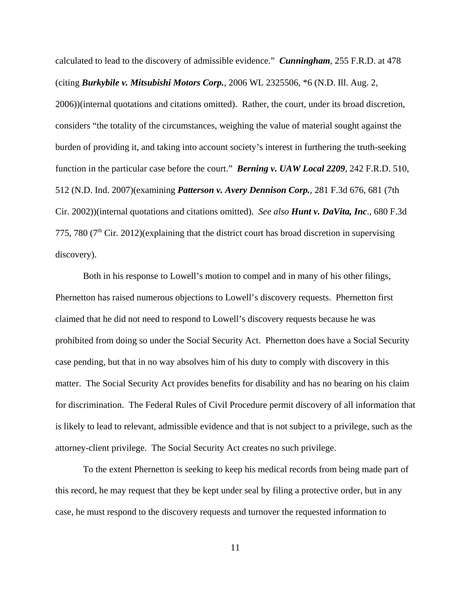calculated to lead to the discovery of admissible evidence." *Cunningham*, 255 F.R.D. at 478 (citing *Burkybile v. Mitsubishi Motors Corp.*, 2006 WL 2325506, \*6 (N.D. Ill. Aug. 2, 2006))(internal quotations and citations omitted). Rather, the court, under its broad discretion, considers "the totality of the circumstances, weighing the value of material sought against the burden of providing it, and taking into account society's interest in furthering the truth-seeking function in the particular case before the court." *Berning v. UAW Local 2209*, 242 F.R.D. 510, 512 (N.D. Ind. 2007)(examining *Patterson v. Avery Dennison Corp.,* 281 F.3d 676, 681 (7th Cir. 2002))(internal quotations and citations omitted). *See also Hunt v. DaVita, Inc*., 680 F.3d 775, 780 ( $7<sup>th</sup>$  Cir. 2012)(explaining that the district court has broad discretion in supervising discovery).

Both in his response to Lowell's motion to compel and in many of his other filings, Phernetton has raised numerous objections to Lowell's discovery requests. Phernetton first claimed that he did not need to respond to Lowell's discovery requests because he was prohibited from doing so under the Social Security Act. Phernetton does have a Social Security case pending, but that in no way absolves him of his duty to comply with discovery in this matter. The Social Security Act provides benefits for disability and has no bearing on his claim for discrimination. The Federal Rules of Civil Procedure permit discovery of all information that is likely to lead to relevant, admissible evidence and that is not subject to a privilege, such as the attorney-client privilege. The Social Security Act creates no such privilege.

To the extent Phernetton is seeking to keep his medical records from being made part of this record, he may request that they be kept under seal by filing a protective order, but in any case, he must respond to the discovery requests and turnover the requested information to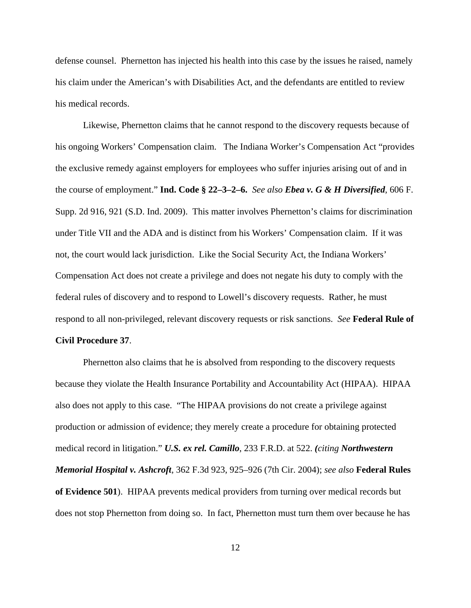defense counsel. Phernetton has injected his health into this case by the issues he raised, namely his claim under the American's with Disabilities Act, and the defendants are entitled to review his medical records.

Likewise, Phernetton claims that he cannot respond to the discovery requests because of his ongoing Workers' Compensation claim. The Indiana Worker's Compensation Act "provides the exclusive remedy against employers for employees who suffer injuries arising out of and in the course of employment." **Ind. Code § 22–3–2–6.** *See also Ebea v. G & H Diversified*, 606 F. Supp. 2d 916, 921 (S.D. Ind. 2009). This matter involves Phernetton's claims for discrimination under Title VII and the ADA and is distinct from his Workers' Compensation claim. If it was not, the court would lack jurisdiction. Like the Social Security Act, the Indiana Workers' Compensation Act does not create a privilege and does not negate his duty to comply with the federal rules of discovery and to respond to Lowell's discovery requests. Rather, he must respond to all non-privileged, relevant discovery requests or risk sanctions. *See* **Federal Rule of**

### **Civil Procedure 37**.

Phernetton also claims that he is absolved from responding to the discovery requests because they violate the Health Insurance Portability and Accountability Act (HIPAA). HIPAA also does not apply to this case. "The HIPAA provisions do not create a privilege against production or admission of evidence; they merely create a procedure for obtaining protected medical record in litigation." *U.S. ex rel. Camillo*, 233 F.R.D. at 522. *(citing Northwestern Memorial Hospital v. Ashcroft*, 362 F.3d 923, 925–926 (7th Cir. 2004); *see also* **Federal Rules of Evidence 501**). HIPAA prevents medical providers from turning over medical records but does not stop Phernetton from doing so. In fact, Phernetton must turn them over because he has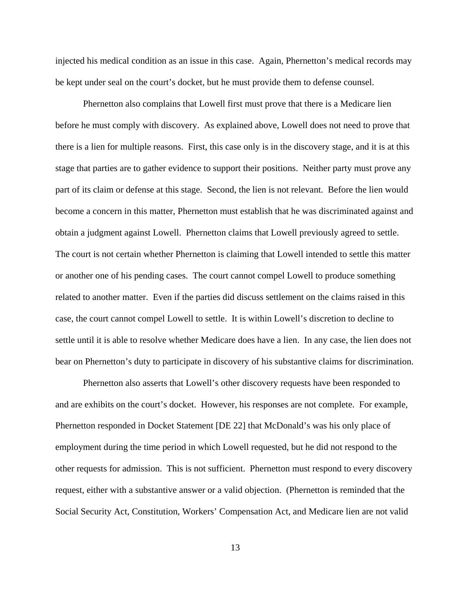injected his medical condition as an issue in this case. Again, Phernetton's medical records may be kept under seal on the court's docket, but he must provide them to defense counsel.

Phernetton also complains that Lowell first must prove that there is a Medicare lien before he must comply with discovery. As explained above, Lowell does not need to prove that there is a lien for multiple reasons. First, this case only is in the discovery stage, and it is at this stage that parties are to gather evidence to support their positions. Neither party must prove any part of its claim or defense at this stage. Second, the lien is not relevant. Before the lien would become a concern in this matter, Phernetton must establish that he was discriminated against and obtain a judgment against Lowell. Phernetton claims that Lowell previously agreed to settle. The court is not certain whether Phernetton is claiming that Lowell intended to settle this matter or another one of his pending cases. The court cannot compel Lowell to produce something related to another matter. Even if the parties did discuss settlement on the claims raised in this case, the court cannot compel Lowell to settle. It is within Lowell's discretion to decline to settle until it is able to resolve whether Medicare does have a lien. In any case, the lien does not bear on Phernetton's duty to participate in discovery of his substantive claims for discrimination.

Phernetton also asserts that Lowell's other discovery requests have been responded to and are exhibits on the court's docket. However, his responses are not complete. For example, Phernetton responded in Docket Statement [DE 22] that McDonald's was his only place of employment during the time period in which Lowell requested, but he did not respond to the other requests for admission. This is not sufficient. Phernetton must respond to every discovery request, either with a substantive answer or a valid objection. (Phernetton is reminded that the Social Security Act, Constitution, Workers' Compensation Act, and Medicare lien are not valid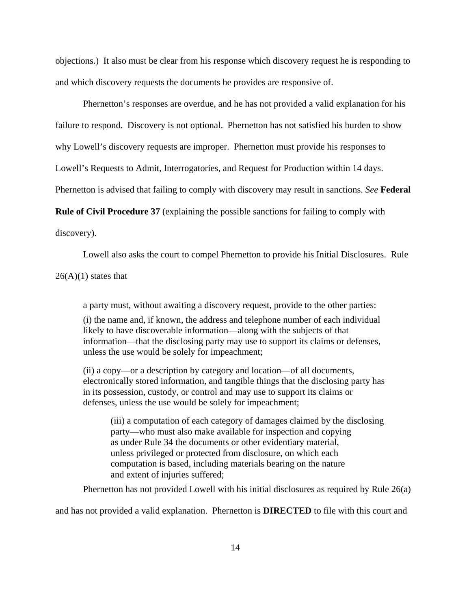objections.) It also must be clear from his response which discovery request he is responding to and which discovery requests the documents he provides are responsive of.

Phernetton's responses are overdue, and he has not provided a valid explanation for his failure to respond. Discovery is not optional. Phernetton has not satisfied his burden to show why Lowell's discovery requests are improper. Phernetton must provide his responses to Lowell's Requests to Admit, Interrogatories, and Request for Production within 14 days.

Phernetton is advised that failing to comply with discovery may result in sanctions. *See* **Federal**

**Rule of Civil Procedure 37** (explaining the possible sanctions for failing to comply with

discovery).

Lowell also asks the court to compel Phernetton to provide his Initial Disclosures. Rule

 $26(A)(1)$  states that

a party must, without awaiting a discovery request, provide to the other parties:

(i) the name and, if known, the address and telephone number of each individual likely to have discoverable information—along with the subjects of that information—that the disclosing party may use to support its claims or defenses, unless the use would be solely for impeachment;

(ii) a copy—or a description by category and location—of all documents, electronically stored information, and tangible things that the disclosing party has in its possession, custody, or control and may use to support its claims or defenses, unless the use would be solely for impeachment;

(iii) a computation of each category of damages claimed by the disclosing party—who must also make available for inspection and copying as under Rule 34 the documents or other evidentiary material, unless privileged or protected from disclosure, on which each computation is based, including materials bearing on the nature and extent of injuries suffered;

Phernetton has not provided Lowell with his initial disclosures as required by Rule 26(a)

and has not provided a valid explanation. Phernetton is **DIRECTED** to file with this court and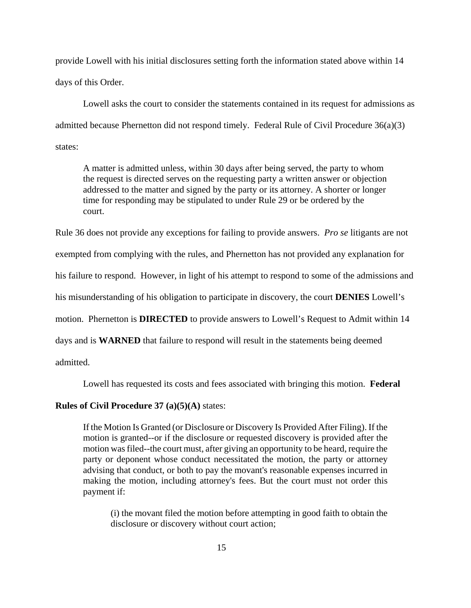provide Lowell with his initial disclosures setting forth the information stated above within 14 days of this Order.

Lowell asks the court to consider the statements contained in its request for admissions as admitted because Phernetton did not respond timely. Federal Rule of Civil Procedure 36(a)(3) states:

A matter is admitted unless, within 30 days after being served, the party to whom the request is directed serves on the requesting party a written answer or objection addressed to the matter and signed by the party or its attorney. A shorter or longer time for responding may be stipulated to under Rule 29 or be ordered by the court.

Rule 36 does not provide any exceptions for failing to provide answers. *Pro se* litigants are not

exempted from complying with the rules, and Phernetton has not provided any explanation for

his failure to respond. However, in light of his attempt to respond to some of the admissions and

his misunderstanding of his obligation to participate in discovery, the court **DENIES** Lowell's

motion. Phernetton is **DIRECTED** to provide answers to Lowell's Request to Admit within 14

days and is **WARNED** that failure to respond will result in the statements being deemed

admitted.

Lowell has requested its costs and fees associated with bringing this motion. **Federal**

### **Rules of Civil Procedure 37 (a)(5)(A)** states:

If the Motion Is Granted (or Disclosure or Discovery Is Provided After Filing). If the motion is granted--or if the disclosure or requested discovery is provided after the motion was filed--the court must, after giving an opportunity to be heard, require the party or deponent whose conduct necessitated the motion, the party or attorney advising that conduct, or both to pay the movant's reasonable expenses incurred in making the motion, including attorney's fees. But the court must not order this payment if:

(i) the movant filed the motion before attempting in good faith to obtain the disclosure or discovery without court action;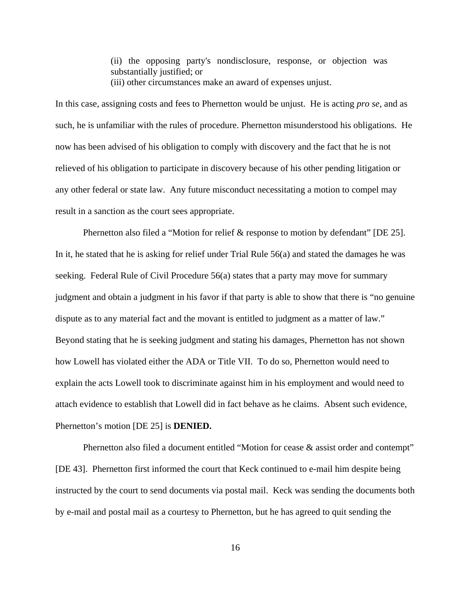(ii) the opposing party's nondisclosure, response, or objection was substantially justified; or (iii) other circumstances make an award of expenses unjust.

In this case, assigning costs and fees to Phernetton would be unjust. He is acting *pro se*, and as such, he is unfamiliar with the rules of procedure. Phernetton misunderstood his obligations. He now has been advised of his obligation to comply with discovery and the fact that he is not relieved of his obligation to participate in discovery because of his other pending litigation or any other federal or state law. Any future misconduct necessitating a motion to compel may result in a sanction as the court sees appropriate.

Phernetton also filed a "Motion for relief & response to motion by defendant" [DE 25]. In it, he stated that he is asking for relief under Trial Rule 56(a) and stated the damages he was seeking. Federal Rule of Civil Procedure 56(a) states that a party may move for summary judgment and obtain a judgment in his favor if that party is able to show that there is "no genuine dispute as to any material fact and the movant is entitled to judgment as a matter of law." Beyond stating that he is seeking judgment and stating his damages, Phernetton has not shown how Lowell has violated either the ADA or Title VII. To do so, Phernetton would need to explain the acts Lowell took to discriminate against him in his employment and would need to attach evidence to establish that Lowell did in fact behave as he claims. Absent such evidence, Phernetton's motion [DE 25] is **DENIED.**

Phernetton also filed a document entitled "Motion for cease & assist order and contempt" [DE 43]. Phernetton first informed the court that Keck continued to e-mail him despite being instructed by the court to send documents via postal mail. Keck was sending the documents both by e-mail and postal mail as a courtesy to Phernetton, but he has agreed to quit sending the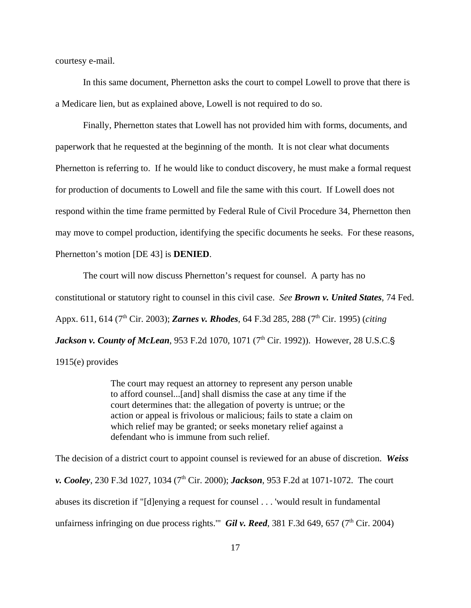courtesy e-mail.

In this same document, Phernetton asks the court to compel Lowell to prove that there is a Medicare lien, but as explained above, Lowell is not required to do so.

Finally, Phernetton states that Lowell has not provided him with forms, documents, and paperwork that he requested at the beginning of the month. It is not clear what documents Phernetton is referring to. If he would like to conduct discovery, he must make a formal request for production of documents to Lowell and file the same with this court. If Lowell does not respond within the time frame permitted by Federal Rule of Civil Procedure 34, Phernetton then may move to compel production, identifying the specific documents he seeks. For these reasons, Phernetton's motion [DE 43] is **DENIED**.

The court will now discuss Phernetton's request for counsel. A party has no constitutional or statutory right to counsel in this civil case. *See Brown v. United States*, 74 Fed. Appx. 611, 614 (7<sup>th</sup> Cir. 2003); *Zarnes v. Rhodes*, 64 F.3d 285, 288 (7<sup>th</sup> Cir. 1995) (*citing Jackson v. County of McLean*, 953 F.2d 1070, 1071 (7<sup>th</sup> Cir. 1992)). However, 28 U.S.C.§ 1915(e) provides

> The court may request an attorney to represent any person unable to afford counsel...[and] shall dismiss the case at any time if the court determines that: the allegation of poverty is untrue; or the action or appeal is frivolous or malicious; fails to state a claim on which relief may be granted; or seeks monetary relief against a defendant who is immune from such relief.

The decision of a district court to appoint counsel is reviewed for an abuse of discretion. *Weiss v. Cooley*, 230 F.3d 1027, 1034 (7<sup>th</sup> Cir. 2000); *Jackson*, 953 F.2d at 1071-1072. The court abuses its discretion if "[d]enying a request for counsel . . . 'would result in fundamental unfairness infringing on due process rights." *Gil v. Reed*, 381 F.3d 649, 657 ( $7<sup>th</sup>$  Cir. 2004)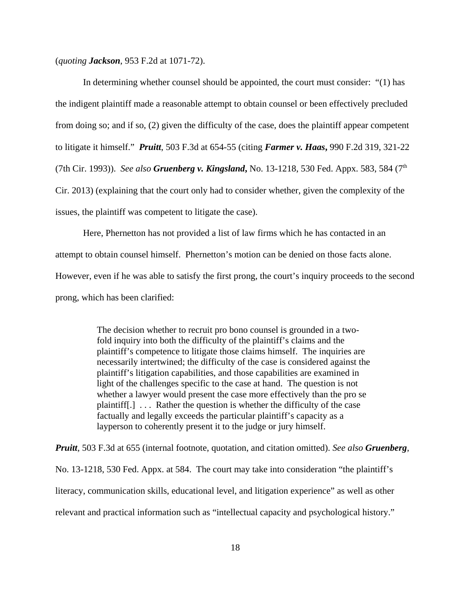(*quoting Jackson*, 953 F.2d at 1071-72).

In determining whether counsel should be appointed, the court must consider: "(1) has the indigent plaintiff made a reasonable attempt to obtain counsel or been effectively precluded from doing so; and if so, (2) given the difficulty of the case, does the plaintiff appear competent to litigate it himself." *Pruitt*, 503 F.3d at 654-55 (citing *Farmer v. Haas***,** 990 F.2d 319, 321-22 (7th Cir. 1993)). *See also Gruenberg v. Kingsland***,** No. 13-1218, 530 Fed. Appx. 583, 584 (7th Cir. 2013) (explaining that the court only had to consider whether, given the complexity of the issues, the plaintiff was competent to litigate the case).

Here, Phernetton has not provided a list of law firms which he has contacted in an attempt to obtain counsel himself. Phernetton's motion can be denied on those facts alone. However, even if he was able to satisfy the first prong, the court's inquiry proceeds to the second prong, which has been clarified:

> The decision whether to recruit pro bono counsel is grounded in a twofold inquiry into both the difficulty of the plaintiff's claims and the plaintiff's competence to litigate those claims himself. The inquiries are necessarily intertwined; the difficulty of the case is considered against the plaintiff's litigation capabilities, and those capabilities are examined in light of the challenges specific to the case at hand. The question is not whether a lawyer would present the case more effectively than the pro se plaintiff[.] . . . Rather the question is whether the difficulty of the case factually and legally exceeds the particular plaintiff's capacity as a layperson to coherently present it to the judge or jury himself.

*Pruitt,* 503 F.3d at 655 (internal footnote, quotation, and citation omitted). *See also Gruenberg*, No. 13-1218, 530 Fed. Appx. at 584. The court may take into consideration "the plaintiff's literacy, communication skills, educational level, and litigation experience" as well as other relevant and practical information such as "intellectual capacity and psychological history."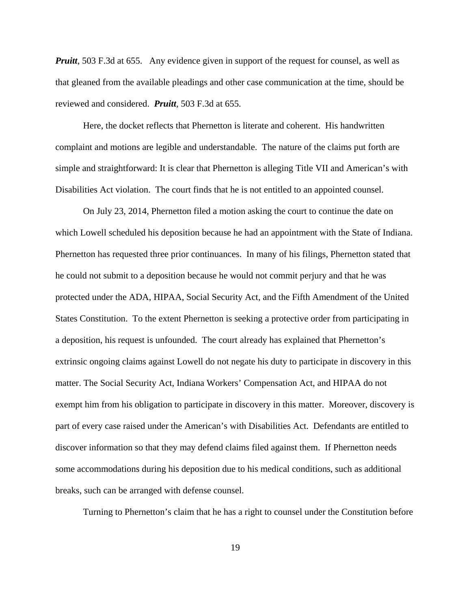*Pruitt*, 503 F.3d at 655. Any evidence given in support of the request for counsel, as well as that gleaned from the available pleadings and other case communication at the time, should be reviewed and considered. *Pruitt,* 503 F.3d at 655.

Here, the docket reflects that Phernetton is literate and coherent. His handwritten complaint and motions are legible and understandable. The nature of the claims put forth are simple and straightforward: It is clear that Phernetton is alleging Title VII and American's with Disabilities Act violation. The court finds that he is not entitled to an appointed counsel.

On July 23, 2014, Phernetton filed a motion asking the court to continue the date on which Lowell scheduled his deposition because he had an appointment with the State of Indiana. Phernetton has requested three prior continuances. In many of his filings, Phernetton stated that he could not submit to a deposition because he would not commit perjury and that he was protected under the ADA, HIPAA, Social Security Act, and the Fifth Amendment of the United States Constitution. To the extent Phernetton is seeking a protective order from participating in a deposition, his request is unfounded. The court already has explained that Phernetton's extrinsic ongoing claims against Lowell do not negate his duty to participate in discovery in this matter. The Social Security Act, Indiana Workers' Compensation Act, and HIPAA do not exempt him from his obligation to participate in discovery in this matter. Moreover, discovery is part of every case raised under the American's with Disabilities Act. Defendants are entitled to discover information so that they may defend claims filed against them. If Phernetton needs some accommodations during his deposition due to his medical conditions, such as additional breaks, such can be arranged with defense counsel.

Turning to Phernetton's claim that he has a right to counsel under the Constitution before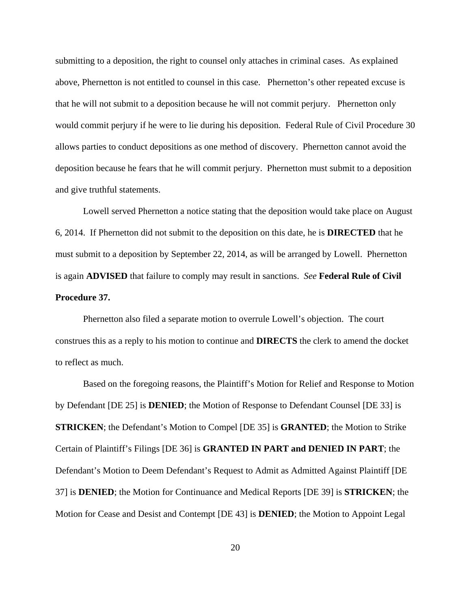submitting to a deposition, the right to counsel only attaches in criminal cases. As explained above, Phernetton is not entitled to counsel in this case. Phernetton's other repeated excuse is that he will not submit to a deposition because he will not commit perjury. Phernetton only would commit perjury if he were to lie during his deposition. Federal Rule of Civil Procedure 30 allows parties to conduct depositions as one method of discovery. Phernetton cannot avoid the deposition because he fears that he will commit perjury. Phernetton must submit to a deposition and give truthful statements.

Lowell served Phernetton a notice stating that the deposition would take place on August 6, 2014. If Phernetton did not submit to the deposition on this date, he is **DIRECTED** that he must submit to a deposition by September 22, 2014, as will be arranged by Lowell. Phernetton is again **ADVISED** that failure to comply may result in sanctions. *See* **Federal Rule of Civil Procedure 37.**

Phernetton also filed a separate motion to overrule Lowell's objection. The court construes this as a reply to his motion to continue and **DIRECTS** the clerk to amend the docket to reflect as much.

Based on the foregoing reasons, the Plaintiff's Motion for Relief and Response to Motion by Defendant [DE 25] is **DENIED**; the Motion of Response to Defendant Counsel [DE 33] is **STRICKEN**; the Defendant's Motion to Compel [DE 35] is **GRANTED**; the Motion to Strike Certain of Plaintiff's Filings [DE 36] is **GRANTED IN PART and DENIED IN PART**; the Defendant's Motion to Deem Defendant's Request to Admit as Admitted Against Plaintiff [DE 37] is **DENIED**; the Motion for Continuance and Medical Reports [DE 39] is **STRICKEN**; the Motion for Cease and Desist and Contempt [DE 43] is **DENIED**; the Motion to Appoint Legal